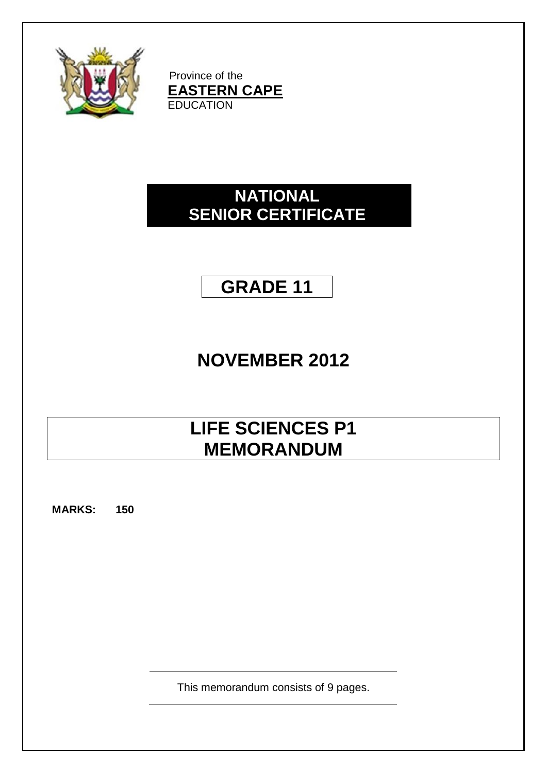

Province of the **EASTERN CAPE** EDUCATION

## **NATIONAL SENIOR CERTIFICATE**

## **GRADE 11**

# **NOVEMBER 2012**

## **LIFE SCIENCES P1 MEMORANDUM**

**MARKS: 150**

This memorandum consists of 9 pages.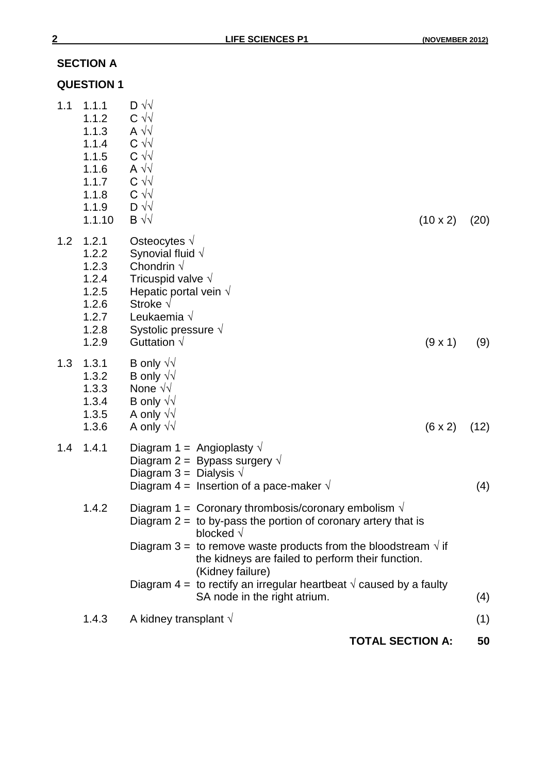## **SECTION A**

|     | <b>QUESTION 1</b>                                                                       |                                                                                                                                                                                                                                           |                                                                                                                                                                                                                                                                                                                                                                                                                         |                         |      |
|-----|-----------------------------------------------------------------------------------------|-------------------------------------------------------------------------------------------------------------------------------------------------------------------------------------------------------------------------------------------|-------------------------------------------------------------------------------------------------------------------------------------------------------------------------------------------------------------------------------------------------------------------------------------------------------------------------------------------------------------------------------------------------------------------------|-------------------------|------|
| 1.1 | 1.1.1<br>1.1.2<br>1.1.3<br>1.1.4<br>1.1.5<br>1.1.6<br>1.1.7<br>1.1.8<br>1.1.9<br>1.1.10 | $D \sqrt{v}$<br>$C \sqrt{2}$<br>A $\sqrt{2}$<br>$C \sqrt{2}$<br>$C \sqrt{v}$<br>A $\sqrt{2}$<br>$C \sqrt{v}$<br>$C \sqrt{2}$<br>$D \sqrt{v}$<br>$\mathsf{B} \sqrt{\sqrt{2}}$                                                              |                                                                                                                                                                                                                                                                                                                                                                                                                         | $(10 \times 2)$         | (20) |
| 1.2 | 1.2.1<br>1.2.2<br>1.2.3<br>1.2.4<br>1.2.5<br>1.2.6<br>1.2.7<br>1.2.8<br>1.2.9           | Osteocytes $\sqrt{ }$<br>Synovial fluid $\sqrt{ }$<br>Chondrin $\sqrt$<br>Tricuspid valve $\sqrt{ }$<br>Hepatic portal vein $\sqrt{ }$<br>Stroke $\sqrt{}$<br>Leukaemia $\sqrt{ }$<br>Systolic pressure $\sqrt{ }$<br>Guttation $\sqrt{}$ |                                                                                                                                                                                                                                                                                                                                                                                                                         | (9x1)                   | (9)  |
| 1.3 | 1.3.1<br>1.3.2<br>1.3.3<br>1.3.4<br>1.3.5<br>1.3.6                                      | B only $\sqrt{v}$<br>B only $\sqrt{v}$<br>None $\sqrt{v}$<br>B only $\sqrt{v}$<br>A only $\sqrt{v}$<br>A only $\sqrt{v}$                                                                                                                  |                                                                                                                                                                                                                                                                                                                                                                                                                         | $(6 \times 2)$          | (12) |
| 1.4 | 1.4.1                                                                                   | Diagram 1 = Angioplasty $\sqrt{ }$<br>Diagram 2 = Bypass surgery $\sqrt{ }$<br>Diagram 3 = Dialysis $\sqrt{ }$                                                                                                                            | Diagram 4 = Insertion of a pace-maker $\sqrt{ }$                                                                                                                                                                                                                                                                                                                                                                        |                         | (4)  |
|     | 1.4.2                                                                                   |                                                                                                                                                                                                                                           | Diagram 1 = Coronary thrombosis/coronary embolism $\sqrt{ }$<br>Diagram $2 =$ to by-pass the portion of coronary artery that is<br>blocked $\sqrt{}$<br>Diagram 3 = to remove waste products from the bloodstream $\sqrt{ }$ if<br>the kidneys are failed to perform their function.<br>(Kidney failure)<br>Diagram 4 = to rectify an irregular heartbeat $\sqrt{ }$ caused by a faulty<br>SA node in the right atrium. |                         | (4)  |
|     | 1.4.3                                                                                   | A kidney transplant $\sqrt{ }$                                                                                                                                                                                                            |                                                                                                                                                                                                                                                                                                                                                                                                                         |                         | (1)  |
|     |                                                                                         |                                                                                                                                                                                                                                           |                                                                                                                                                                                                                                                                                                                                                                                                                         | <b>TOTAL SECTION A:</b> | 50   |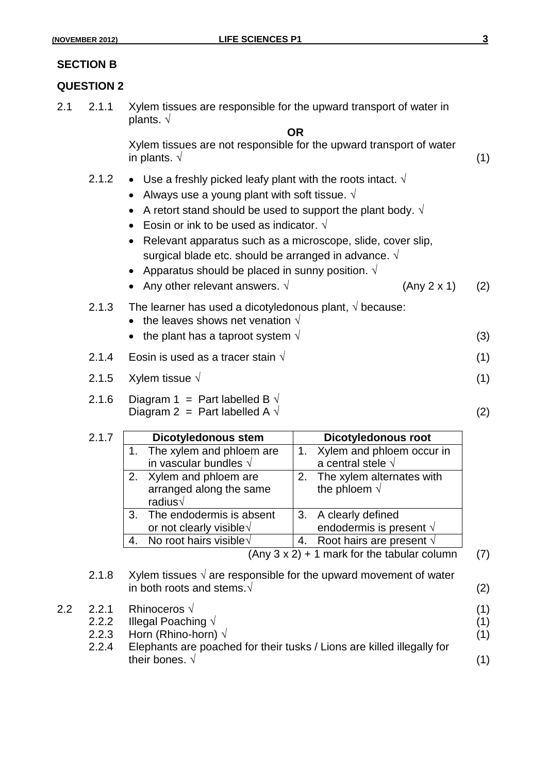#### **SECTION B**

#### **QUESTION 2**

2.1 2.1.1 Xylem tissues are responsible for the upward transport of water in plants. **√ OR**

> Xylem tissues are not responsible for the upward transport of water  $\blacksquare$  in plants.  $\sqrt{ }$  (1)

- 2.1.2  $\bullet$  Use a freshly picked leafy plant with the roots intact.  $\sqrt{ }$ 
	- Always use a young plant with soft tissue. **√**
	- A retort stand should be used to support the plant body. **√**
	- Eosin or ink to be used as indicator. **√**
	- Relevant apparatus such as a microscope, slide, cover slip, surgical blade etc. should be arranged in advance. **√**
	- Apparatus should be placed in sunny position. **√**
	- Any other relevant answers. **√** (Any 2 x 1) (2)
- 2.1.3 The learner has used a dicotyledonous plant, **√** because:
	- the leaves shows net venation  $\sqrt{ }$
	- the plant has a taproot system **√** (3)
- 2.1.4 Eosin is used as a tracer stain **√** (1)
- 2.1.5 Xylem tissue **√** (1)
- 2.1.6 Diagram 1 = Part labelled B  $\sqrt{ }$ Diagram 2 = Part labelled A  $\sqrt{ }$  (2)

| 2.1.7 | <b>Dicotyledonous stem</b>                | <b>Dicotyledonous root</b>           |
|-------|-------------------------------------------|--------------------------------------|
|       | 1. The xylem and phloem are               | 1. Xylem and phloem occur in         |
|       | in vascular bundles $\sqrt{}$             | a central stele $\sqrt{ }$           |
|       | 2. Xylem and phloem are                   | 2. The xylem alternates with         |
|       | arranged along the same<br>radius $\sqrt$ | the phloem $\sqrt{ }$                |
|       | 3. The endodermis is absent               | 3. A clearly defined                 |
|       | or not clearly visible $\sqrt{ }$         | endodermis is present $\sqrt{ }$     |
|       | No root hairs visible $\sqrt{ }$          | 4. Root hairs are present $\sqrt{ }$ |

(Any  $3 \times 2$ ) + 1 mark for the tabular column (7)

- 2.1.8 Xylem tissues **√** are responsible for the upward movement of water in both roots and stems.**√** (2)
- 2.2 2.2.1 Rhinoceros **√** (1) 2.2.2 Illegal Poaching **√** (1) 2.2.3 Horn (Rhino-horn) **√** (1) 2.2.4 Elephants are poached for their tusks / Lions are killed illegally for their bones.  $\sqrt{ }$  (1)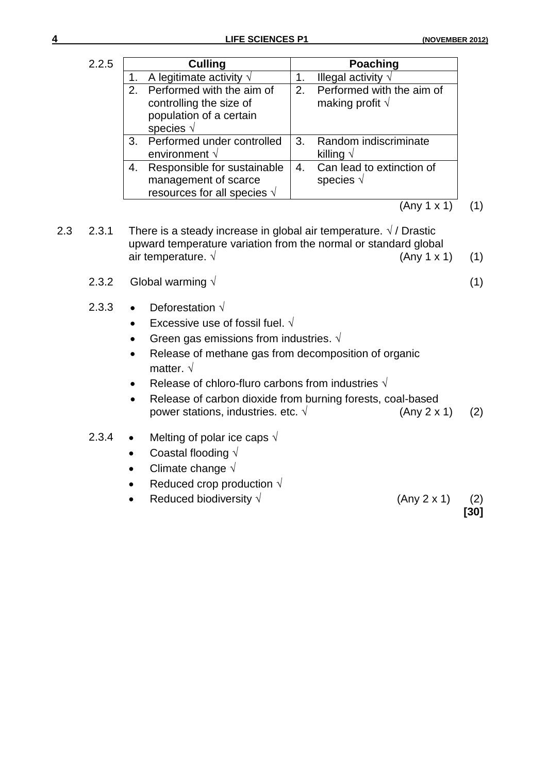$(1)$ 

| 2.2.5 |    | <b>Culling</b>                                                                                           |    | <b>Poaching</b>                                       |
|-------|----|----------------------------------------------------------------------------------------------------------|----|-------------------------------------------------------|
|       |    | A legitimate activity $\sqrt{ }$                                                                         | 1. | Illegal activity $\sqrt{ }$                           |
|       |    | 2. Performed with the aim of<br>controlling the size of<br>population of a certain<br>species $\sqrt{ }$ | 2. | Performed with the aim of<br>making profit $\sqrt{ }$ |
|       |    | 3. Performed under controlled<br>environment $\sqrt{ }$                                                  | 3. | Random indiscriminate<br>killing $\sqrt{}$            |
|       | 4. | Responsible for sustainable<br>management of scarce<br>resources for all species $\sqrt{ }$              | 4. | Can lead to extinction of<br>species $\sqrt{ }$       |
|       |    |                                                                                                          |    |                                                       |

- 2.3 2.3.1 There is a steady increase in global air temperature.  $\sqrt{7}$  Drastic upward temperature variation from the normal or standard global air temperature.  $\sqrt{2\pi}$  (Any 1 x 1) (1)
	- 2.3.2 Global warming **√** (1)
	- 2.3.3 Deforestation **√**
		- Excessive use of fossil fuel. **√**
		- Green gas emissions from industries. **√**
		- Release of methane gas from decomposition of organic matter. **√**
		- Release of chloro-fluro carbons from industries **√**
		- Release of carbon dioxide from burning forests, coal-based power stations, industries. etc. **√** (Any 2 x 1) (2)
	- 2.3.4 Melting of polar ice caps **√**
		- Coastal flooding **√**
		- Climate change **√**
		- Reduced crop production **√**
		- Reduced biodiversity **√** (Any 2 x 1) (2)
			- - **[30]**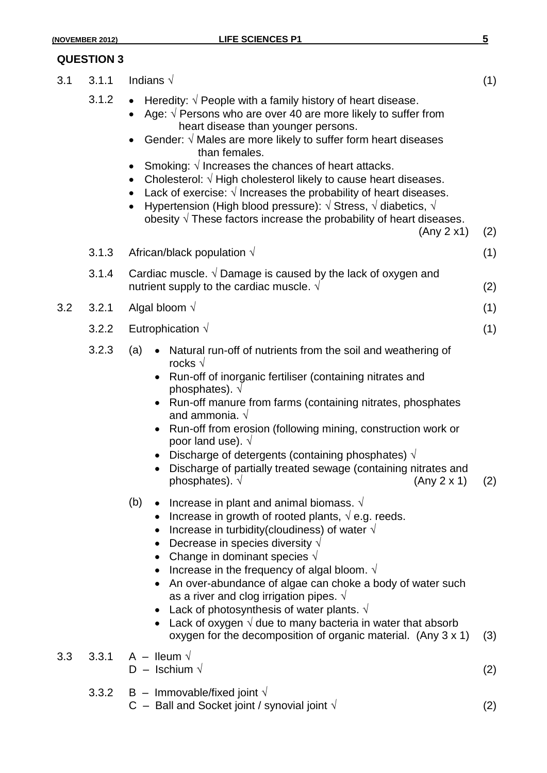## **QUESTION 3**

| 3.1 | 3.1.1 | Indians $\sqrt{ }$                                                                                                                                                                                                                                                                                                                                                                                                                                                                                                                                                                                                                                                                                                                                                                                                                                                                                                                                                                                                                                                                                                                                                                                                     | (1)        |
|-----|-------|------------------------------------------------------------------------------------------------------------------------------------------------------------------------------------------------------------------------------------------------------------------------------------------------------------------------------------------------------------------------------------------------------------------------------------------------------------------------------------------------------------------------------------------------------------------------------------------------------------------------------------------------------------------------------------------------------------------------------------------------------------------------------------------------------------------------------------------------------------------------------------------------------------------------------------------------------------------------------------------------------------------------------------------------------------------------------------------------------------------------------------------------------------------------------------------------------------------------|------------|
|     | 3.1.2 | Heredity: $\sqrt{}$ People with a family history of heart disease.<br>Age: $\sqrt{P}$ Persons who are over 40 are more likely to suffer from<br>heart disease than younger persons.<br>Gender: $\sqrt{ }$ Males are more likely to suffer form heart diseases<br>than females.<br>Smoking: $\sqrt{}$ Increases the chances of heart attacks.<br>Cholesterol: $\sqrt{}$ High cholesterol likely to cause heart diseases.<br>Lack of exercise: $\sqrt{}$ Increases the probability of heart diseases.<br>Hypertension (High blood pressure): $\sqrt{ }$ Stress, $\sqrt{ }$ diabetics, $\sqrt{ }$<br>$\bullet$<br>obesity $\sqrt{}$ These factors increase the probability of heart diseases.<br>(Any 2 x1)                                                                                                                                                                                                                                                                                                                                                                                                                                                                                                               | (2)        |
|     | 3.1.3 | African/black population $\sqrt{}$                                                                                                                                                                                                                                                                                                                                                                                                                                                                                                                                                                                                                                                                                                                                                                                                                                                                                                                                                                                                                                                                                                                                                                                     | (1)        |
|     | 3.1.4 | Cardiac muscle. $\sqrt{}$ Damage is caused by the lack of oxygen and<br>nutrient supply to the cardiac muscle. $\sqrt{ }$                                                                                                                                                                                                                                                                                                                                                                                                                                                                                                                                                                                                                                                                                                                                                                                                                                                                                                                                                                                                                                                                                              | (2)        |
| 3.2 | 3.2.1 | Algal bloom $\sqrt$                                                                                                                                                                                                                                                                                                                                                                                                                                                                                                                                                                                                                                                                                                                                                                                                                                                                                                                                                                                                                                                                                                                                                                                                    | (1)        |
|     | 3.2.2 | Eutrophication $\sqrt{ }$                                                                                                                                                                                                                                                                                                                                                                                                                                                                                                                                                                                                                                                                                                                                                                                                                                                                                                                                                                                                                                                                                                                                                                                              | (1)        |
|     | 3.2.3 | (a)<br>Natural run-off of nutrients from the soil and weathering of<br>$\bullet$<br>rocks $\sqrt{ }$<br>Run-off of inorganic fertiliser (containing nitrates and<br>phosphates). $\sqrt{ }$<br>Run-off manure from farms (containing nitrates, phosphates<br>and ammonia. $\sqrt{ }$<br>Run-off from erosion (following mining, construction work or<br>poor land use). $\sqrt{ }$<br>Discharge of detergents (containing phosphates) $\sqrt{ }$<br>Discharge of partially treated sewage (containing nitrates and<br>phosphates). $\sqrt{ }$<br>(Any 2 x 1)<br>(b)<br>• Increase in plant and animal biomass. $\sqrt{ }$<br>• Increase in growth of rooted plants, $\sqrt{e}$ e.g. reeds.<br>• Increase in turbidity(cloudiness) of water $\sqrt{ }$<br>Decrease in species diversity $\sqrt{}$<br>• Change in dominant species $\sqrt{ }$<br>Increase in the frequency of algal bloom. $\sqrt{ }$<br>• An over-abundance of algae can choke a body of water such<br>as a river and clog irrigation pipes. $\sqrt{ }$<br>Lack of photosynthesis of water plants. $\sqrt{ }$<br>• Lack of oxygen $\sqrt{ }$ due to many bacteria in water that absorb<br>oxygen for the decomposition of organic material. (Any 3 x 1) | (2)<br>(3) |
| 3.3 |       | 3.3.1 A – Ileum $\sqrt{ }$<br>$D -$ Ischium $\sqrt{ }$                                                                                                                                                                                                                                                                                                                                                                                                                                                                                                                                                                                                                                                                                                                                                                                                                                                                                                                                                                                                                                                                                                                                                                 | (2)        |
|     | 3.3.2 | $B -$ Immovable/fixed joint $\sqrt{}$<br>C – Ball and Socket joint / synovial joint $\sqrt{ }$                                                                                                                                                                                                                                                                                                                                                                                                                                                                                                                                                                                                                                                                                                                                                                                                                                                                                                                                                                                                                                                                                                                         | (2)        |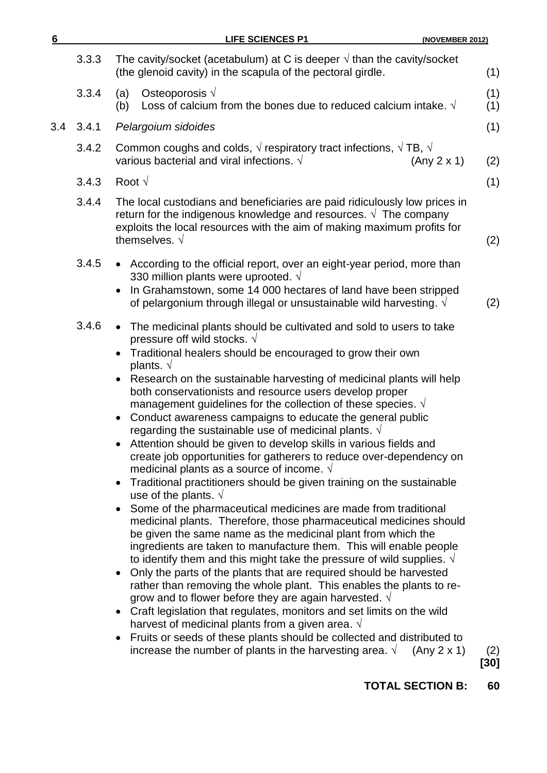| <b>LIFE SCIENCES P1</b><br>(NOVEMBER 2012)                                                                                                                                                                                                                                                                                                                                                                                                                                                                                                                                                                                                                                                                                                                                                                                                                                                                                                                                                                                                                                                                                                                                                                                                                                                                                                                                                                                                                                                                                                                                                                                                                                                                                                         |             |
|----------------------------------------------------------------------------------------------------------------------------------------------------------------------------------------------------------------------------------------------------------------------------------------------------------------------------------------------------------------------------------------------------------------------------------------------------------------------------------------------------------------------------------------------------------------------------------------------------------------------------------------------------------------------------------------------------------------------------------------------------------------------------------------------------------------------------------------------------------------------------------------------------------------------------------------------------------------------------------------------------------------------------------------------------------------------------------------------------------------------------------------------------------------------------------------------------------------------------------------------------------------------------------------------------------------------------------------------------------------------------------------------------------------------------------------------------------------------------------------------------------------------------------------------------------------------------------------------------------------------------------------------------------------------------------------------------------------------------------------------------|-------------|
| The cavity/socket (acetabulum) at C is deeper $\sqrt{ }$ than the cavity/socket<br>3.3.3<br>(the glenoid cavity) in the scapula of the pectoral girdle.                                                                                                                                                                                                                                                                                                                                                                                                                                                                                                                                                                                                                                                                                                                                                                                                                                                                                                                                                                                                                                                                                                                                                                                                                                                                                                                                                                                                                                                                                                                                                                                            | (1)         |
| Osteoporosis $\sqrt{ }$<br>3.3.4<br>(a)<br>Loss of calcium from the bones due to reduced calcium intake. $\sqrt{ }$<br>(b)                                                                                                                                                                                                                                                                                                                                                                                                                                                                                                                                                                                                                                                                                                                                                                                                                                                                                                                                                                                                                                                                                                                                                                                                                                                                                                                                                                                                                                                                                                                                                                                                                         | (1)<br>(1)  |
| 3.4.1<br>Pelargoium sidoides                                                                                                                                                                                                                                                                                                                                                                                                                                                                                                                                                                                                                                                                                                                                                                                                                                                                                                                                                                                                                                                                                                                                                                                                                                                                                                                                                                                                                                                                                                                                                                                                                                                                                                                       | (1)         |
| Common coughs and colds, $\sqrt{ }$ respiratory tract infections, $\sqrt{ }$ TB, $\sqrt{ }$<br>3.4.2<br>various bacterial and viral infections. $\sqrt{ }$<br>(Any 2 x 1)                                                                                                                                                                                                                                                                                                                                                                                                                                                                                                                                                                                                                                                                                                                                                                                                                                                                                                                                                                                                                                                                                                                                                                                                                                                                                                                                                                                                                                                                                                                                                                          | (2)         |
| Root $\sqrt{ }$<br>3.4.3                                                                                                                                                                                                                                                                                                                                                                                                                                                                                                                                                                                                                                                                                                                                                                                                                                                                                                                                                                                                                                                                                                                                                                                                                                                                                                                                                                                                                                                                                                                                                                                                                                                                                                                           | (1)         |
| 3.4.4<br>The local custodians and beneficiaries are paid ridiculously low prices in<br>return for the indigenous knowledge and resources. $\sqrt{\ }$ The company<br>exploits the local resources with the aim of making maximum profits for<br>themselves. $\sqrt{ }$                                                                                                                                                                                                                                                                                                                                                                                                                                                                                                                                                                                                                                                                                                                                                                                                                                                                                                                                                                                                                                                                                                                                                                                                                                                                                                                                                                                                                                                                             | (2)         |
| 3.4.5<br>• According to the official report, over an eight-year period, more than<br>330 million plants were uprooted. $\sqrt{ }$<br>In Grahamstown, some 14 000 hectares of land have been stripped<br>of pelargonium through illegal or unsustainable wild harvesting. $\sqrt{ }$                                                                                                                                                                                                                                                                                                                                                                                                                                                                                                                                                                                                                                                                                                                                                                                                                                                                                                                                                                                                                                                                                                                                                                                                                                                                                                                                                                                                                                                                | (2)         |
| 3.4.6<br>The medicinal plants should be cultivated and sold to users to take<br>pressure off wild stocks. $\sqrt{}$<br>Traditional healers should be encouraged to grow their own<br>plants. $\sqrt{ }$<br>Research on the sustainable harvesting of medicinal plants will help<br>both conservationists and resource users develop proper<br>management guidelines for the collection of these species. $\sqrt{ }$<br>Conduct awareness campaigns to educate the general public<br>regarding the sustainable use of medicinal plants. $\sqrt{ }$<br>• Attention should be given to develop skills in various fields and<br>create job opportunities for gatherers to reduce over-dependency on<br>medicinal plants as a source of income. $\sqrt{ }$<br>Traditional practitioners should be given training on the sustainable<br>use of the plants. $\sqrt{ }$<br>Some of the pharmaceutical medicines are made from traditional<br>medicinal plants. Therefore, those pharmaceutical medicines should<br>be given the same name as the medicinal plant from which the<br>ingredients are taken to manufacture them. This will enable people<br>to identify them and this might take the pressure of wild supplies. $\sqrt{ }$<br>Only the parts of the plants that are required should be harvested<br>rather than removing the whole plant. This enables the plants to re-<br>grow and to flower before they are again harvested. $\sqrt{ }$<br>Craft legislation that regulates, monitors and set limits on the wild<br>harvest of medicinal plants from a given area. $\sqrt{ }$<br>Fruits or seeds of these plants should be collected and distributed to<br>increase the number of plants in the harvesting area. $\sqrt{ }$<br>(Any 2 x 1) | (2)<br>[30] |
|                                                                                                                                                                                                                                                                                                                                                                                                                                                                                                                                                                                                                                                                                                                                                                                                                                                                                                                                                                                                                                                                                                                                                                                                                                                                                                                                                                                                                                                                                                                                                                                                                                                                                                                                                    |             |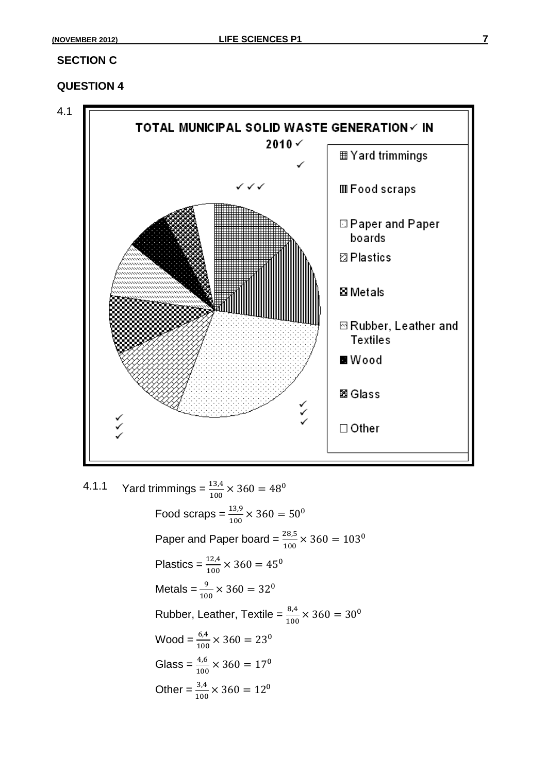#### **SECTION C**

### **QUESTION 4**



4.1.1 Yard trimmings =  $\frac{13.4}{100}$  × Food scraps =  $\frac{13.9}{100}$  × Paper and Paper board =  $\frac{20.5}{100}$  × Plastics =  $\frac{12.4}{100}$  × Metals =  $\frac{9}{100}$  × Rubber, Leather, Textile =  $\frac{8.4}{100}$  × Wood =  $\frac{6.4}{100}$  × Glass =  $\frac{4,6}{100}$  × Other =  $\frac{3.4}{100}$   $\times$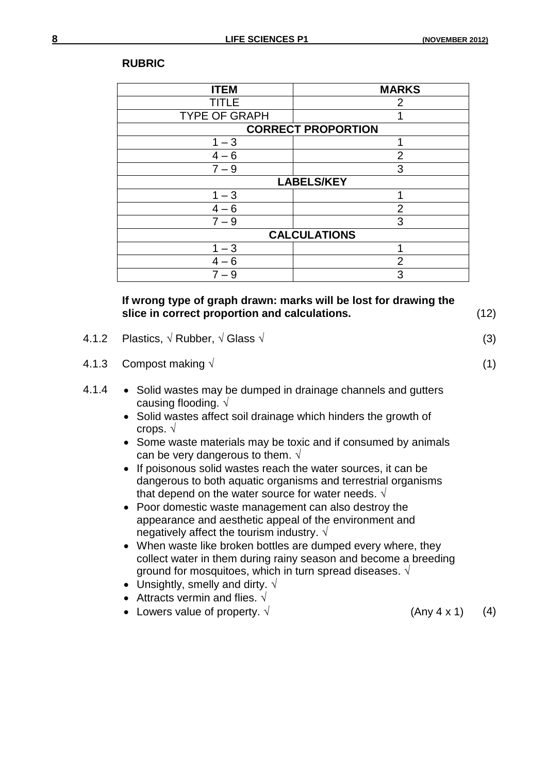| <b>RUBRIC</b> |
|---------------|
|---------------|

| <b>ITEM</b>          | <b>MARKS</b>              |
|----------------------|---------------------------|
| TITLE                | 2                         |
| <b>TYPE OF GRAPH</b> |                           |
|                      | <b>CORRECT PROPORTION</b> |
| $1 - 3$              |                           |
| $4 - 6$              | $\overline{2}$            |
| $7 - 9$              | 3                         |
|                      | <b>LABELS/KEY</b>         |
| $1 - 3$              | 1                         |
| $4 - 6$              | $\overline{2}$            |
| $7 - 9$              | 3                         |
|                      | <b>CALCULATIONS</b>       |
| $1 - 3$              |                           |
| $4 - 6$              | $\overline{2}$            |
| $7 - 9$              | 3                         |

### **If wrong type of graph drawn: marks will be lost for drawing the slice in correct proportion and calculations.** (12)

- 4.1.2 Plastics, **√** Rubber, **√** Glass **√** (3)
- 4.1.3 Compost making **√** (1)
- 4.1.4 Solid wastes may be dumped in drainage channels and gutters causing flooding. √
	- Solid wastes affect soil drainage which hinders the growth of crops. √
	- Some waste materials may be toxic and if consumed by animals can be very dangerous to them.  $\sqrt{ }$
	- If poisonous solid wastes reach the water sources, it can be dangerous to both aquatic organisms and terrestrial organisms that depend on the water source for water needs.  $\sqrt{ }$
	- Poor domestic waste management can also destroy the appearance and aesthetic appeal of the environment and negatively affect the tourism industry.  $\sqrt{ }$
	- When waste like broken bottles are dumped every where, they collect water in them during rainy season and become a breeding ground for mosquitoes, which in turn spread diseases.  $\sqrt{ }$
	- Unsightly, smelly and dirty.  $\sqrt{ }$
	- Attracts vermin and flies.  $\sqrt{ }$
	- Lowers value of property.  $\sqrt{ }$  (Any 4 x 1) (4)